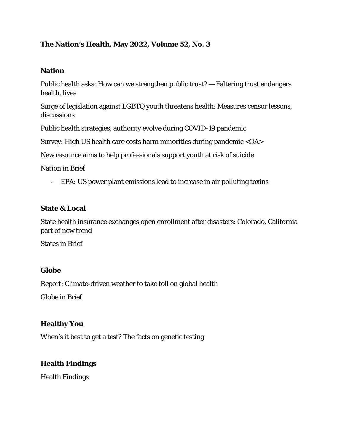# **The Nation's Health, May 2022, Volume 52, No. 3**

#### **Nation**

Public health asks: How can we strengthen public trust? — Faltering trust endangers health, lives

Surge of legislation against LGBTQ youth threatens health: Measures censor lessons, discussions

Public health strategies, authority evolve during COVID-19 pandemic

Survey: High US health care costs harm minorities during pandemic <OA>

New resource aims to help professionals support youth at risk of suicide

Nation in Brief

- EPA: US power plant emissions lead to increase in air polluting toxins

#### **State & Local**

State health insurance exchanges open enrollment after disasters: Colorado, California part of new trend

States in Brief

#### **Globe**

Report: Climate-driven weather to take toll on global health

Globe in Brief

# **Healthy You**

When's it best to get a test? The facts on genetic testing

# **Health Findings**

Health Findings